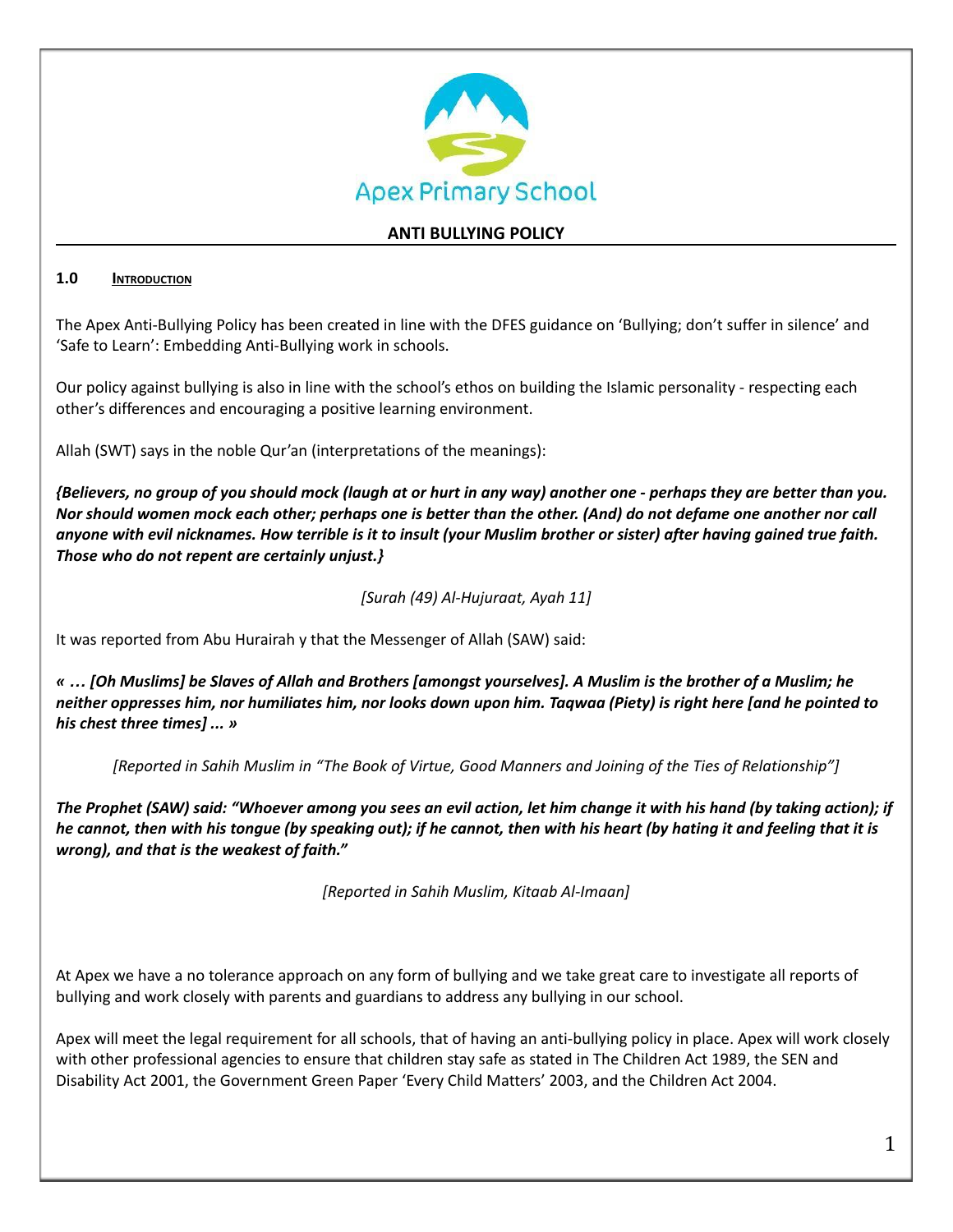

# **ANTI BULLYING POLICY**

### **1.0 INTRODUCTION**

The Apex Anti-Bullying Policy has been created in line with the DFES guidance on 'Bullying; don't suffer in silence' and 'Safe to Learn': Embedding Anti-Bullying work in schools.

Our policy against bullying is also in line with the school's ethos on building the Islamic personality - respecting each other's differences and encouraging a positive learning environment.

Allah (SWT) says in the noble Qur'an (interpretations of the meanings):

{Believers, no group of you should mock (laugh at or hurt in any way) another one - perhaps they are better than you. Nor should women mock each other; perhaps one is better than the other. (And) do not defame one another nor call anyone with evil nicknames. How terrible is it to insult (your Muslim brother or sister) after having gained true faith. *Those who do not repent are certainly unjust.}*

*[Surah (49) Al-Hujuraat, Ayah 11]*

It was reported from Abu Hurairah y that the Messenger of Allah (SAW) said:

« ... [Oh Muslims] be Slaves of Allah and Brothers [amongst yourselves]. A Muslim is the brother of a Muslim; he neither oppresses him, nor humiliates him, nor looks down upon him. Tagwaa (Piety) is right here [and he pointed to *his chest three times] ... »*

[Reported in Sahih Muslim in "The Book of Virtue, Good Manners and Joining of the Ties of Relationship"]

The Prophet (SAW) said: "Whoever among you sees an evil action, let him change it with his hand (by taking action); if he cannot, then with his tongue (by speaking out); if he cannot, then with his heart (by hating it and feeling that it is *wrong), and that is the weakest of faith."*

*[Reported in Sahih Muslim, Kitaab Al-Imaan]*

At Apex we have a no tolerance approach on any form of bullying and we take great care to investigate all reports of bullying and work closely with parents and guardians to address any bullying in our school.

Apex will meet the legal requirement for all schools, that of having an anti-bullying policy in place. Apex will work closely with other professional agencies to ensure that children stay safe as stated in The Children Act 1989, the SEN and Disability Act 2001, the Government Green Paper 'Every Child Matters' 2003, and the Children Act 2004.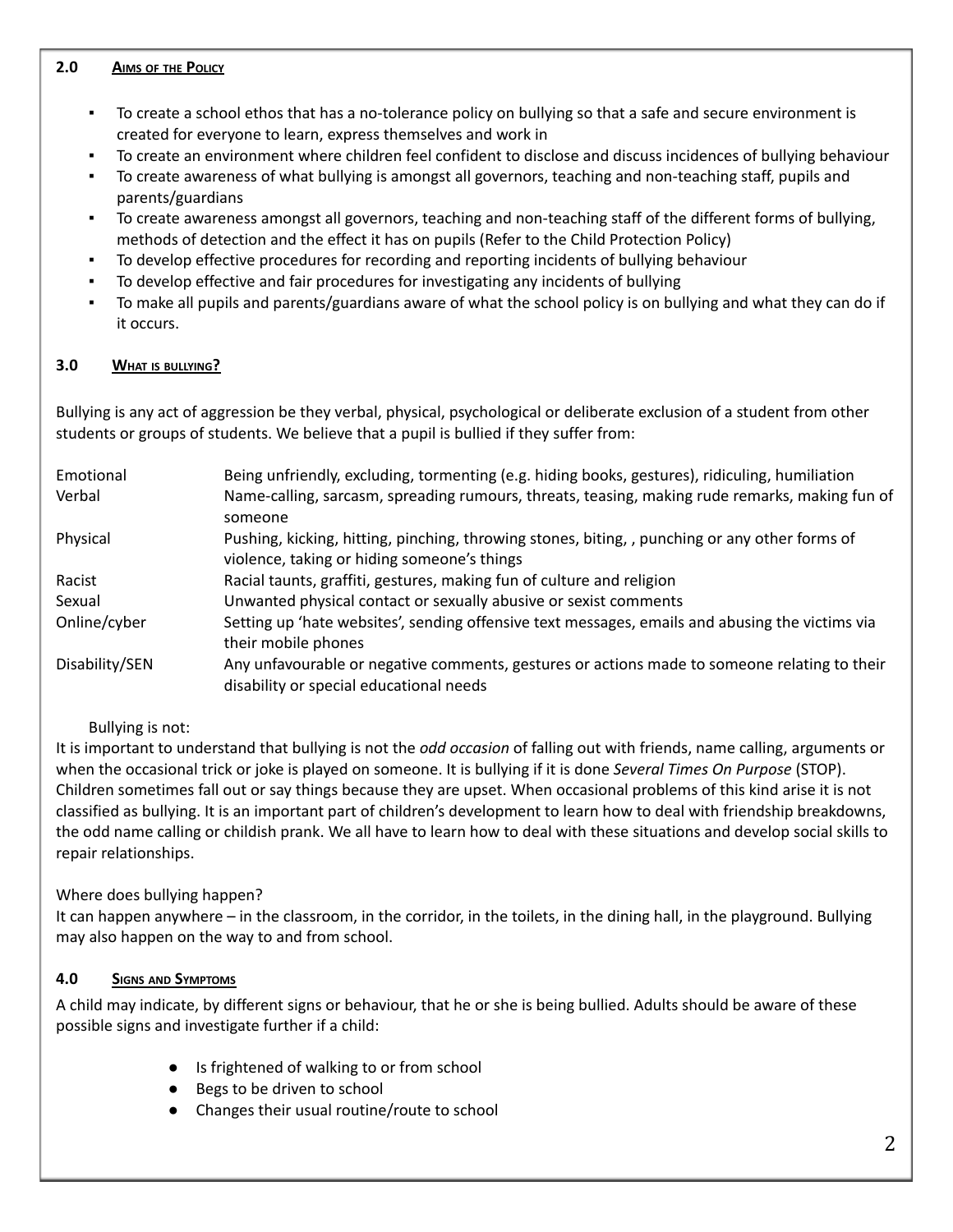#### **2.0 AIMS OF THE POLICY**

- To create a school ethos that has a no-tolerance policy on bullying so that a safe and secure environment is created for everyone to learn, express themselves and work in
- To create an environment where children feel confident to disclose and discuss incidences of bullying behaviour
- To create awareness of what bullying is amongst all governors, teaching and non-teaching staff, pupils and parents/guardians
- To create awareness amongst all governors, teaching and non-teaching staff of the different forms of bullying, methods of detection and the effect it has on pupils (Refer to the Child Protection Policy)
- To develop effective procedures for recording and reporting incidents of bullying behaviour
- To develop effective and fair procedures for investigating any incidents of bullying
- To make all pupils and parents/guardians aware of what the school policy is on bullying and what they can do if it occurs.

### **3.0 WHAT IS BULLYING?**

Bullying is any act of aggression be they verbal, physical, psychological or deliberate exclusion of a student from other students or groups of students. We believe that a pupil is bullied if they suffer from:

| Emotional      | Being unfriendly, excluding, tormenting (e.g. hiding books, gestures), ridiculing, humiliation                                                |
|----------------|-----------------------------------------------------------------------------------------------------------------------------------------------|
| Verbal         | Name-calling, sarcasm, spreading rumours, threats, teasing, making rude remarks, making fun of<br>someone                                     |
| Physical       | Pushing, kicking, hitting, pinching, throwing stones, biting, , punching or any other forms of<br>violence, taking or hiding someone's things |
| Racist         | Racial taunts, graffiti, gestures, making fun of culture and religion                                                                         |
| Sexual         | Unwanted physical contact or sexually abusive or sexist comments                                                                              |
| Online/cyber   | Setting up 'hate websites', sending offensive text messages, emails and abusing the victims via<br>their mobile phones                        |
| Disability/SEN | Any unfavourable or negative comments, gestures or actions made to someone relating to their<br>disability or special educational needs       |

#### Bullying is not:

It is important to understand that bullying is not the *odd occasion* of falling out with friends, name calling, arguments or when the occasional trick or joke is played on someone. It is bullying if it is done *Several Times On Purpose* (STOP). Children sometimes fall out or say things because they are upset. When occasional problems of this kind arise it is not classified as bullying. It is an important part of children's development to learn how to deal with friendship breakdowns, the odd name calling or childish prank. We all have to learn how to deal with these situations and develop social skills to repair relationships.

## Where does bullying happen?

It can happen anywhere – in the classroom, in the corridor, in the toilets, in the dining hall, in the playground. Bullying may also happen on the way to and from school.

## **4.0 SIGNS AND SYMPTOMS**

A child may indicate, by different signs or behaviour, that he or she is being bullied. Adults should be aware of these possible signs and investigate further if a child:

- Is frightened of walking to or from school
- Begs to be driven to school
- Changes their usual routine/route to school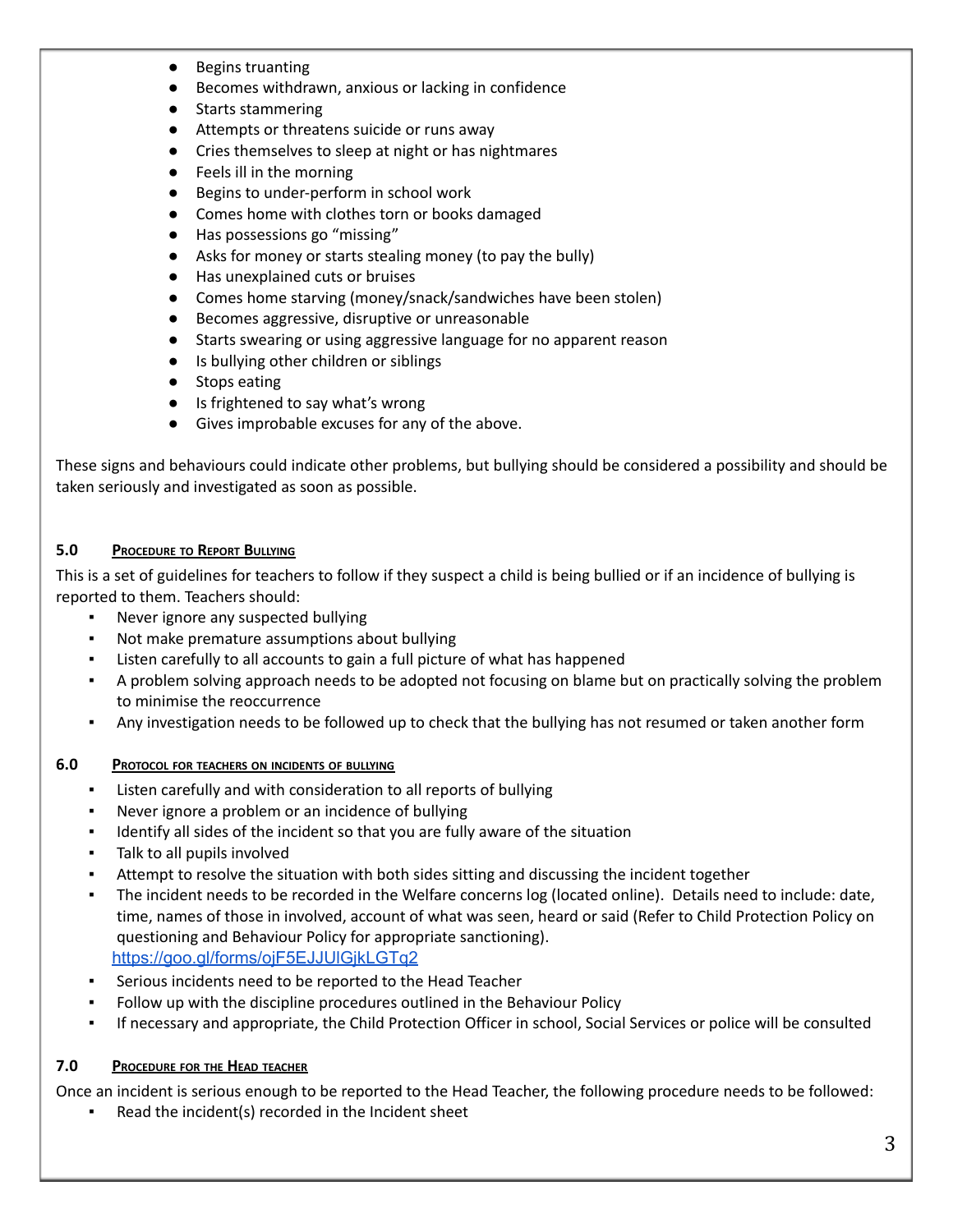- Begins truanting
- Becomes withdrawn, anxious or lacking in confidence
- Starts stammering
- Attempts or threatens suicide or runs away
- Cries themselves to sleep at night or has nightmares
- Feels ill in the morning
- Begins to under-perform in school work
- Comes home with clothes torn or books damaged
- Has possessions go "missing"
- Asks for money or starts stealing money (to pay the bully)
- Has unexplained cuts or bruises
- Comes home starving (money/snack/sandwiches have been stolen)
- Becomes aggressive, disruptive or unreasonable
- Starts swearing or using aggressive language for no apparent reason
- Is bullying other children or siblings
- Stops eating
- Is frightened to say what's wrong
- Gives improbable excuses for any of the above.

These signs and behaviours could indicate other problems, but bullying should be considered a possibility and should be taken seriously and investigated as soon as possible.

### **5.0 PROCEDURE TO REPORT BULLYING**

This is a set of guidelines for teachers to follow if they suspect a child is being bullied or if an incidence of bullying is reported to them. Teachers should:

- Never ignore any suspected bullying
- Not make premature assumptions about bullying
- Listen carefully to all accounts to gain a full picture of what has happened
- A problem solving approach needs to be adopted not focusing on blame but on practically solving the problem to minimise the reoccurrence
- Any investigation needs to be followed up to check that the bullying has not resumed or taken another form

#### **6.0 PROTOCOL FOR TEACHERS ON INCIDENTS OF BULLYING**

- Listen carefully and with consideration to all reports of bullying
- Never ignore a problem or an incidence of bullying
- Identify all sides of the incident so that you are fully aware of the situation
- Talk to all pupils involved
- Attempt to resolve the situation with both sides sitting and discussing the incident together
- The incident needs to be recorded in the Welfare concerns log (located online). Details need to include: date, time, names of those in involved, account of what was seen, heard or said (Refer to Child Protection Policy on questioning and Behaviour Policy for appropriate sanctioning). <https://goo.gl/forms/ojF5EJJUlGjkLGTq2>
- Serious incidents need to be reported to the Head Teacher
- Follow up with the discipline procedures outlined in the Behaviour Policy
- If necessary and appropriate, the Child Protection Officer in school, Social Services or police will be consulted

## **7.0 PROCEDURE FOR THE HEAD TEACHER**

Once an incident is serious enough to be reported to the Head Teacher, the following procedure needs to be followed:

Read the incident(s) recorded in the Incident sheet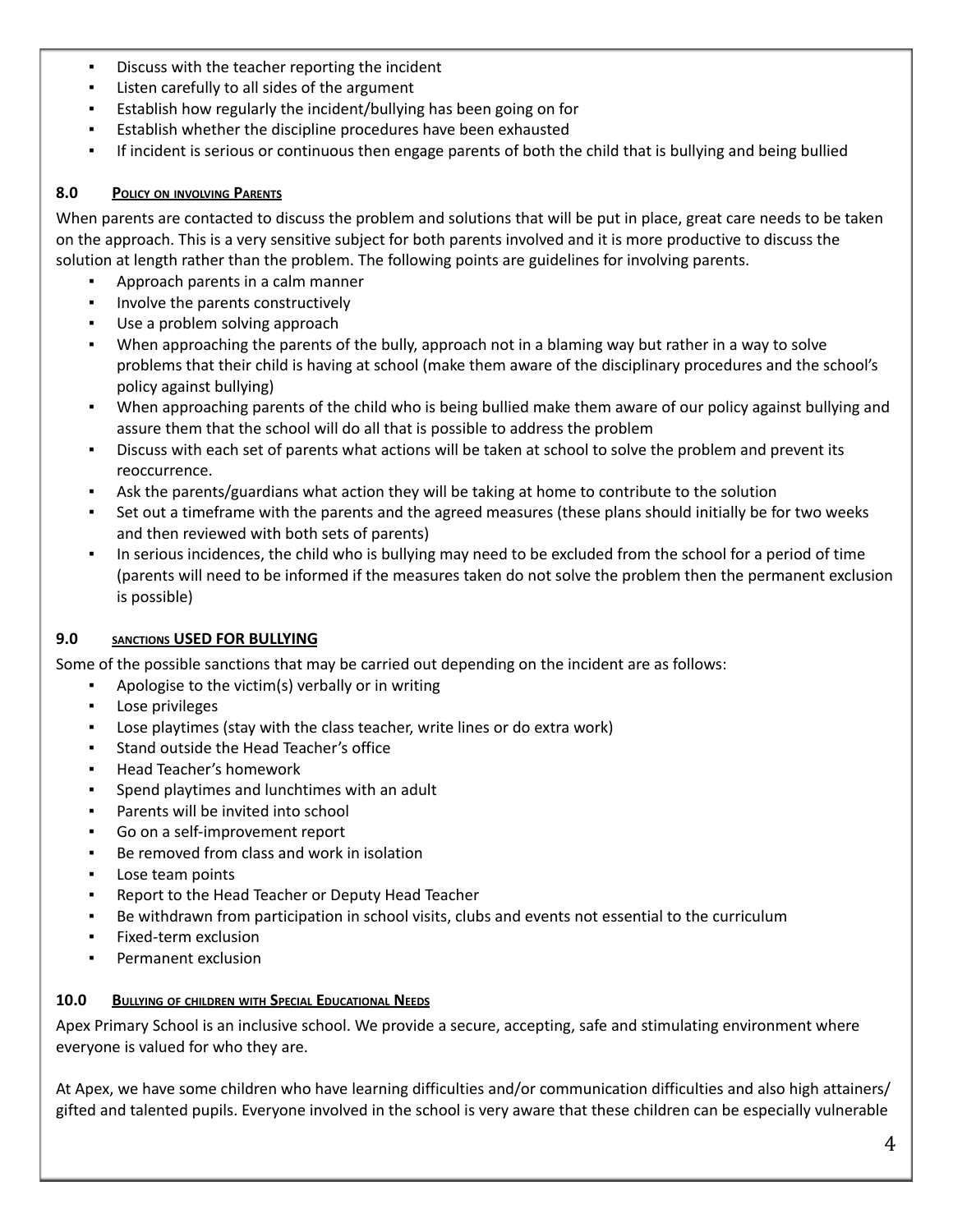- Discuss with the teacher reporting the incident
- Listen carefully to all sides of the argument
- Establish how regularly the incident/bullying has been going on for
- Establish whether the discipline procedures have been exhausted
- If incident is serious or continuous then engage parents of both the child that is bullying and being bullied

## **8.0 POLICY ON INVOLVING PARENTS**

When parents are contacted to discuss the problem and solutions that will be put in place, great care needs to be taken on the approach. This is a very sensitive subject for both parents involved and it is more productive to discuss the solution at length rather than the problem. The following points are guidelines for involving parents.

- Approach parents in a calm manner
- Involve the parents constructively
- Use a problem solving approach
- When approaching the parents of the bully, approach not in a blaming way but rather in a way to solve problems that their child is having at school (make them aware of the disciplinary procedures and the school's policy against bullying)
- When approaching parents of the child who is being bullied make them aware of our policy against bullying and assure them that the school will do all that is possible to address the problem
- Discuss with each set of parents what actions will be taken at school to solve the problem and prevent its reoccurrence.
- Ask the parents/guardians what action they will be taking at home to contribute to the solution
- Set out a timeframe with the parents and the agreed measures (these plans should initially be for two weeks and then reviewed with both sets of parents)
- In serious incidences, the child who is bullying may need to be excluded from the school for a period of time (parents will need to be informed if the measures taken do not solve the problem then the permanent exclusion is possible)

## **9.0 SANCTIONS USED FOR BULLYING**

Some of the possible sanctions that may be carried out depending on the incident are as follows:

- Apologise to the victim(s) verbally or in writing
- Lose privileges
- Lose playtimes (stay with the class teacher, write lines or do extra work)
- Stand outside the Head Teacher's office
- **Head Teacher's homework**
- Spend playtimes and lunchtimes with an adult
- Parents will be invited into school
- Go on a self-improvement report
- Be removed from class and work in isolation
- Lose team points
- Report to the Head Teacher or Deputy Head Teacher
- Be withdrawn from participation in school visits, clubs and events not essential to the curriculum
- Fixed-term exclusion
- Permanent exclusion

## **10.0 BULLYING OF CHILDREN WITH SPECIAL EDUCATIONAL NEEDS**

Apex Primary School is an inclusive school. We provide a secure, accepting, safe and stimulating environment where everyone is valued for who they are.

At Apex, we have some children who have learning difficulties and/or communication difficulties and also high attainers/ gifted and talented pupils. Everyone involved in the school is very aware that these children can be especially vulnerable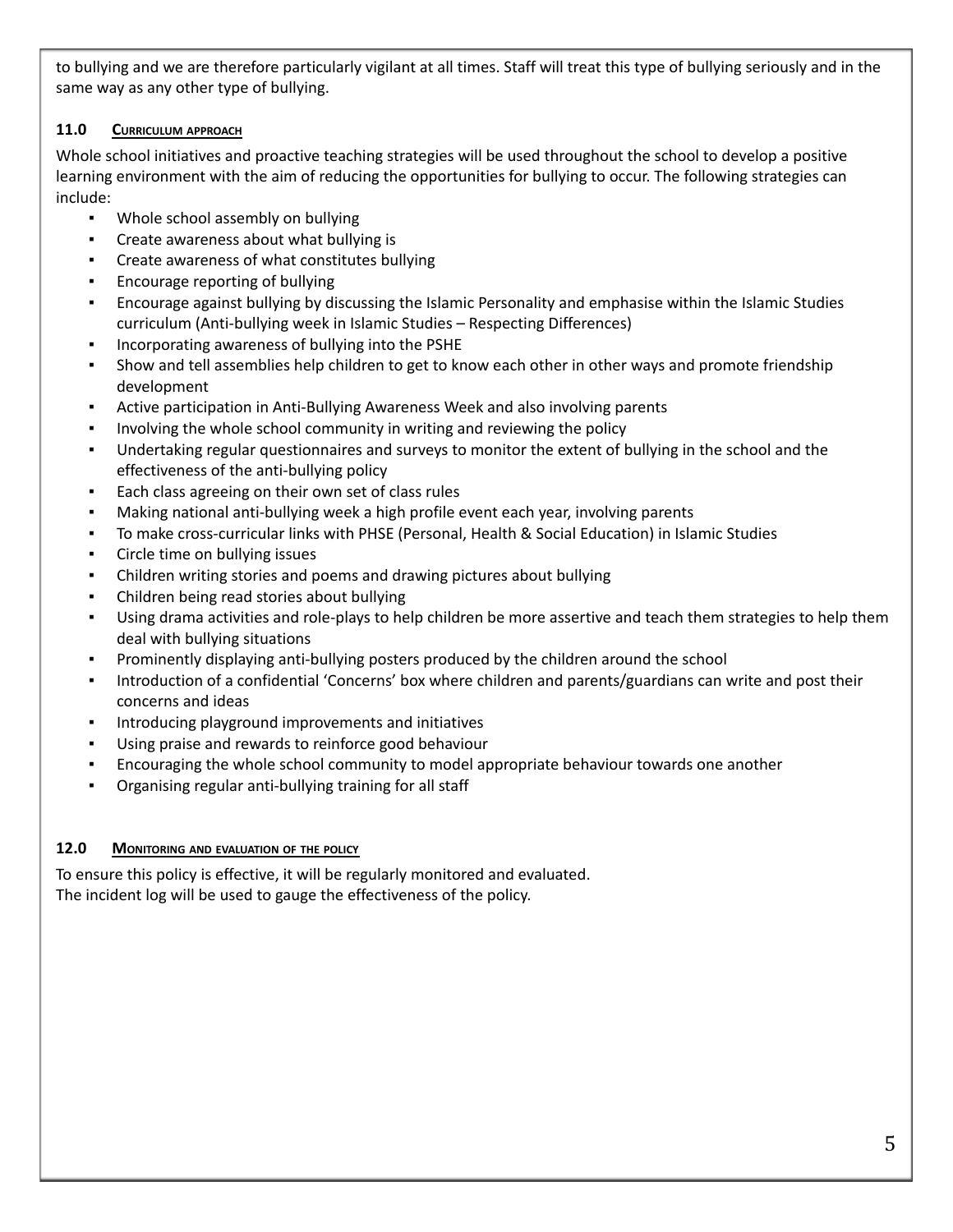to bullying and we are therefore particularly vigilant at all times. Staff will treat this type of bullying seriously and in the same way as any other type of bullying.

# **11.0 CURRICULUM APPROACH**

Whole school initiatives and proactive teaching strategies will be used throughout the school to develop a positive learning environment with the aim of reducing the opportunities for bullying to occur. The following strategies can include:

- Whole school assembly on bullying
- Create awareness about what bullying is
- Create awareness of what constitutes bullying
- Encourage reporting of bullying
- Encourage against bullying by discussing the Islamic Personality and emphasise within the Islamic Studies curriculum (Anti-bullying week in Islamic Studies – Respecting Differences)
- Incorporating awareness of bullying into the PSHE
- **•** Show and tell assemblies help children to get to know each other in other ways and promote friendship development
- **•** Active participation in Anti-Bullying Awareness Week and also involving parents
- Involving the whole school community in writing and reviewing the policy
- Undertaking regular questionnaires and surveys to monitor the extent of bullying in the school and the effectiveness of the anti-bullying policy
- Each class agreeing on their own set of class rules
- Making national anti-bullying week a high profile event each year, involving parents
- To make cross-curricular links with PHSE (Personal, Health & Social Education) in Islamic Studies
- Circle time on bullying issues
- Children writing stories and poems and drawing pictures about bullying
- Children being read stories about bullying
- Using drama activities and role-plays to help children be more assertive and teach them strategies to help them deal with bullying situations
- Prominently displaying anti-bullying posters produced by the children around the school
- Introduction of a confidential 'Concerns' box where children and parents/guardians can write and post their concerns and ideas
- Introducing playground improvements and initiatives
- Using praise and rewards to reinforce good behaviour
- Encouraging the whole school community to model appropriate behaviour towards one another
- Organising regular anti-bullying training for all staff

# **12.0 MONITORING AND EVALUATION OF THE POLICY**

To ensure this policy is effective, it will be regularly monitored and evaluated. The incident log will be used to gauge the effectiveness of the policy.